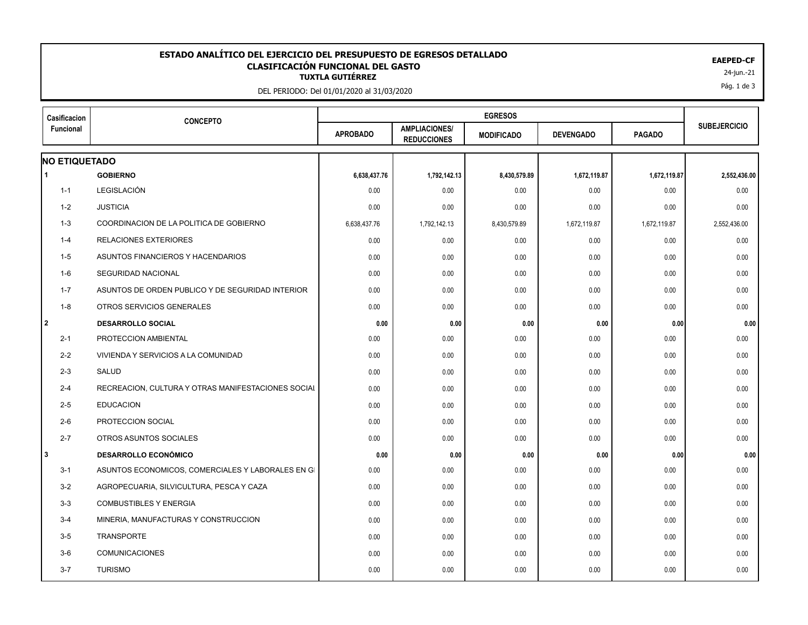## 24-jun.-21 **TUXTLA GUTIÉRREZ ESTADO ANALÍTICO DEL EJERCICIO DEL PRESUPUESTO DE EGRESOS DETALLADO EAEPED-CF CLASIFICACIÓN FUNCIONAL DEL GASTO**

DEL PERIODO: Del 01/01/2020 al 31/03/2020

| Casificacion         | <b>CONCEPTO</b>                                    |                 |                                            |                   |                  |               |                     |
|----------------------|----------------------------------------------------|-----------------|--------------------------------------------|-------------------|------------------|---------------|---------------------|
| Funcional            |                                                    | <b>APROBADO</b> | <b>AMPLIACIONES/</b><br><b>REDUCCIONES</b> | <b>MODIFICADO</b> | <b>DEVENGADO</b> | <b>PAGADO</b> | <b>SUBEJERCICIO</b> |
| <b>NO ETIQUETADO</b> |                                                    |                 |                                            |                   |                  |               |                     |
| $\blacktriangleleft$ | <b>GOBIERNO</b>                                    | 6,638,437.76    | 1,792,142.13                               | 8,430,579.89      | 1,672,119.87     | 1,672,119.87  | 2,552,436.00        |
| $1 - 1$              | LEGISLACIÓN                                        | 0.00            | 0.00                                       | 0.00              | 0.00             | 0.00          | 0.00                |
| $1 - 2$              | <b>JUSTICIA</b>                                    | 0.00            | 0.00                                       | 0.00              | 0.00             | 0.00          | 0.00                |
| $1 - 3$              | COORDINACION DE LA POLITICA DE GOBIERNO            | 6,638,437.76    | 1,792,142.13                               | 8,430,579.89      | 1,672,119.87     | 1,672,119.87  | 2,552,436.00        |
| $1 - 4$              | <b>RELACIONES EXTERIORES</b>                       | 0.00            | 0.00                                       | 0.00              | 0.00             | 0.00          | 0.00                |
| $1 - 5$              | ASUNTOS FINANCIEROS Y HACENDARIOS                  | 0.00            | 0.00                                       | 0.00              | 0.00             | 0.00          | 0.00                |
| 1-6                  | <b>SEGURIDAD NACIONAL</b>                          | 0.00            | 0.00                                       | 0.00              | 0.00             | 0.00          | 0.00                |
| $1 - 7$              | ASUNTOS DE ORDEN PUBLICO Y DE SEGURIDAD INTERIOR   | 0.00            | 0.00                                       | 0.00              | 0.00             | 0.00          | 0.00                |
| $1 - 8$              | OTROS SERVICIOS GENERALES                          | 0.00            | 0.00                                       | 0.00              | 0.00             | 0.00          | 0.00                |
| l 2                  | <b>DESARROLLO SOCIAL</b>                           | 0.00            | 0.00                                       | 0.00              | 0.00             | 0.00          | 0.00                |
| $2 - 1$              | PROTECCION AMBIENTAL                               | 0.00            | 0.00                                       | 0.00              | 0.00             | 0.00          | 0.00                |
| $2 - 2$              | VIVIENDA Y SERVICIOS A LA COMUNIDAD                | 0.00            | 0.00                                       | 0.00              | 0.00             | 0.00          | 0.00                |
| $2 - 3$              | <b>SALUD</b>                                       | 0.00            | 0.00                                       | 0.00              | 0.00             | 0.00          | 0.00                |
| $2 - 4$              | RECREACION, CULTURA Y OTRAS MANIFESTACIONES SOCIAL | 0.00            | 0.00                                       | 0.00              | 0.00             | 0.00          | 0.00                |
| $2 - 5$              | <b>EDUCACION</b>                                   | 0.00            | 0.00                                       | 0.00              | 0.00             | 0.00          | 0.00                |
| $2 - 6$              | PROTECCION SOCIAL                                  | 0.00            | 0.00                                       | 0.00              | 0.00             | 0.00          | 0.00                |
| $2 - 7$              | OTROS ASUNTOS SOCIALES                             | 0.00            | 0.00                                       | 0.00              | 0.00             | 0.00          | 0.00                |
| IЗ                   | <b>DESARROLLO ECONÓMICO</b>                        | 0.00            | 0.00                                       | 0.00              | 0.00             | 0.00          | 0.00                |
| $3 - 1$              | ASUNTOS ECONOMICOS, COMERCIALES Y LABORALES EN GI  | 0.00            | 0.00                                       | 0.00              | 0.00             | 0.00          | 0.00                |
| $3 - 2$              | AGROPECUARIA, SILVICULTURA, PESCA Y CAZA           | 0.00            | 0.00                                       | 0.00              | 0.00             | 0.00          | 0.00                |
| $3-3$                | <b>COMBUSTIBLES Y ENERGIA</b>                      | 0.00            | 0.00                                       | 0.00              | 0.00             | 0.00          | 0.00                |
| $3-4$                | MINERIA, MANUFACTURAS Y CONSTRUCCION               | 0.00            | 0.00                                       | 0.00              | 0.00             | 0.00          | 0.00                |
| $3-5$                | <b>TRANSPORTE</b>                                  | 0.00            | 0.00                                       | 0.00              | 0.00             | 0.00          | 0.00                |
| $3-6$                | <b>COMUNICACIONES</b>                              | 0.00            | 0.00                                       | 0.00              | 0.00             | 0.00          | 0.00                |
| $3 - 7$              | <b>TURISMO</b>                                     | 0.00            | 0.00                                       | 0.00              | 0.00             | 0.00          | 0.00                |
|                      |                                                    |                 |                                            |                   |                  |               |                     |

Pág. 1 de 3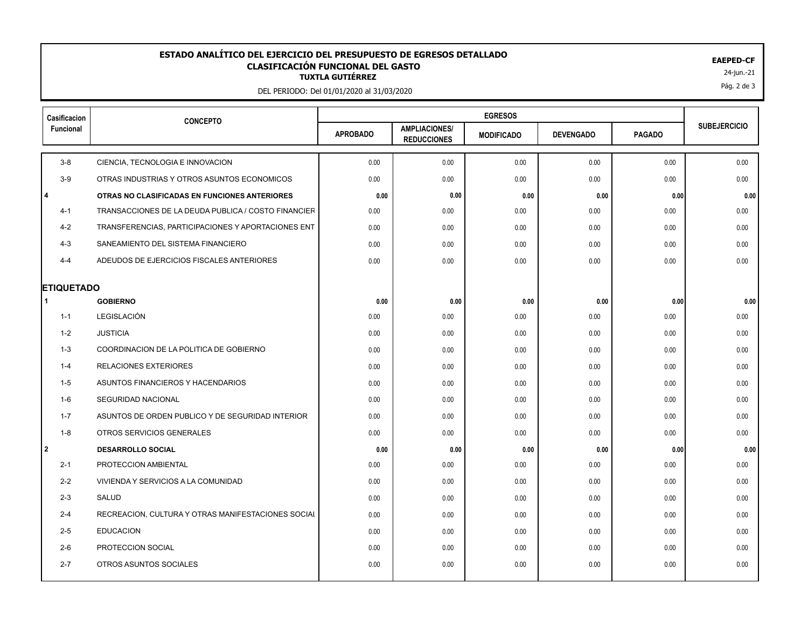## 24-jun.-21 **TUXTLA GUTIÉRREZ ESTADO ANALÍTICO DEL EJERCICIO DEL PRESUPUESTO DE EGRESOS DETALLADO EAEPED-CF CLASIFICACIÓN FUNCIONAL DEL GASTO**

DEL PERIODO: Del 01/01/2020 al 31/03/2020

| Casificacion           | <b>CONCEPTO</b>                                     |                 |                                            |                   |                  |               |                     |
|------------------------|-----------------------------------------------------|-----------------|--------------------------------------------|-------------------|------------------|---------------|---------------------|
| Funcional              |                                                     | <b>APROBADO</b> | <b>AMPLIACIONES/</b><br><b>REDUCCIONES</b> | <b>MODIFICADO</b> | <b>DEVENGADO</b> | <b>PAGADO</b> | <b>SUBEJERCICIO</b> |
| $3-8$                  | CIENCIA, TECNOLOGIA E INNOVACION                    | 0.00            | 0.00                                       | 0.00              | 0.00             | 0.00          | 0.00                |
| $3-9$                  | OTRAS INDUSTRIAS Y OTROS ASUNTOS ECONOMICOS         | 0.00            | 0.00                                       | 0.00              | 0.00             | 0.00          | 0.00                |
| $\overline{4}$         | OTRAS NO CLASIFICADAS EN FUNCIONES ANTERIORES       | 0.00            | 0.00                                       | 0.00              | 0.00             | 0.00          | 0.00                |
| $4 - 1$                | TRANSACCIONES DE LA DEUDA PUBLICA / COSTO FINANCIER | 0.00            | 0.00                                       | 0.00              | 0.00             | 0.00          | 0.00                |
| $4 - 2$                | TRANSFERENCIAS, PARTICIPACIONES Y APORTACIONES ENT  | 0.00            | 0.00                                       | 0.00              | 0.00             | 0.00          | 0.00                |
| $4 - 3$                | SANEAMIENTO DEL SISTEMA FINANCIERO                  | 0.00            | 0.00                                       | 0.00              | 0.00             | 0.00          | 0.00                |
| $4 - 4$                | ADEUDOS DE EJERCICIOS FISCALES ANTERIORES           | 0.00            | 0.00                                       | 0.00              | 0.00             | 0.00          | 0.00                |
|                        |                                                     |                 |                                            |                   |                  |               |                     |
| <b>ETIQUETADO</b><br>1 | <b>GOBIERNO</b>                                     | 0.00            | 0.00                                       | 0.00              | 0.00             | 0.00          | 0.00                |
| $1 - 1$                | LEGISLACIÓN                                         | 0.00            | 0.00                                       | 0.00              | 0.00             | 0.00          | 0.00                |
| 1-2                    | <b>JUSTICIA</b>                                     | 0.00            | 0.00                                       | 0.00              | 0.00             | 0.00          | 0.00                |
| $1 - 3$                | COORDINACION DE LA POLITICA DE GOBIERNO             | 0.00            | 0.00                                       | 0.00              | 0.00             | 0.00          | 0.00                |
| $1 - 4$                | <b>RELACIONES EXTERIORES</b>                        | 0.00            | 0.00                                       | 0.00              | 0.00             | 0.00          | 0.00                |
| $1 - 5$                | ASUNTOS FINANCIEROS Y HACENDARIOS                   | 0.00            | 0.00                                       | 0.00              | 0.00             | 0.00          | 0.00                |
| 1-6                    | <b>SEGURIDAD NACIONAL</b>                           | 0.00            | 0.00                                       | 0.00              | 0.00             | 0.00          | 0.00                |
| $1 - 7$                | ASUNTOS DE ORDEN PUBLICO Y DE SEGURIDAD INTERIOR    | 0.00            | 0.00                                       | 0.00              | 0.00             | 0.00          | 0.00                |
| $1 - 8$                | OTROS SERVICIOS GENERALES                           | 0.00            | 0.00                                       | 0.00              | 0.00             | 0.00          | 0.00                |
| l 2                    | <b>DESARROLLO SOCIAL</b>                            | 0.00            | 0.00                                       | 0.00              | 0.00             | 0.00          | 0.00                |
| $2 - 1$                | PROTECCION AMBIENTAL                                | 0.00            | 0.00                                       | 0.00              | 0.00             | 0.00          | 0.00                |
| $2 - 2$                | VIVIENDA Y SERVICIOS A LA COMUNIDAD                 | 0.00            | 0.00                                       | 0.00              | 0.00             | 0.00          | 0.00                |
| $2 - 3$                | SALUD                                               | 0.00            | 0.00                                       | 0.00              | 0.00             | 0.00          | 0.00                |
| $2 - 4$                | RECREACION, CULTURA Y OTRAS MANIFESTACIONES SOCIAL  | 0.00            | 0.00                                       | 0.00              | 0.00             | 0.00          | 0.00                |
| $2 - 5$                | <b>EDUCACION</b>                                    | 0.00            | 0.00                                       | 0.00              | 0.00             | 0.00          | 0.00                |
| $2 - 6$                | PROTECCION SOCIAL                                   | 0.00            | 0.00                                       | 0.00              | 0.00             | 0.00          | 0.00                |
| $2 - 7$                | OTROS ASUNTOS SOCIALES                              | 0.00            | 0.00                                       | 0.00              | 0.00             | 0.00          | 0.00                |
|                        |                                                     |                 |                                            |                   |                  |               |                     |

Pág. 2 de 3